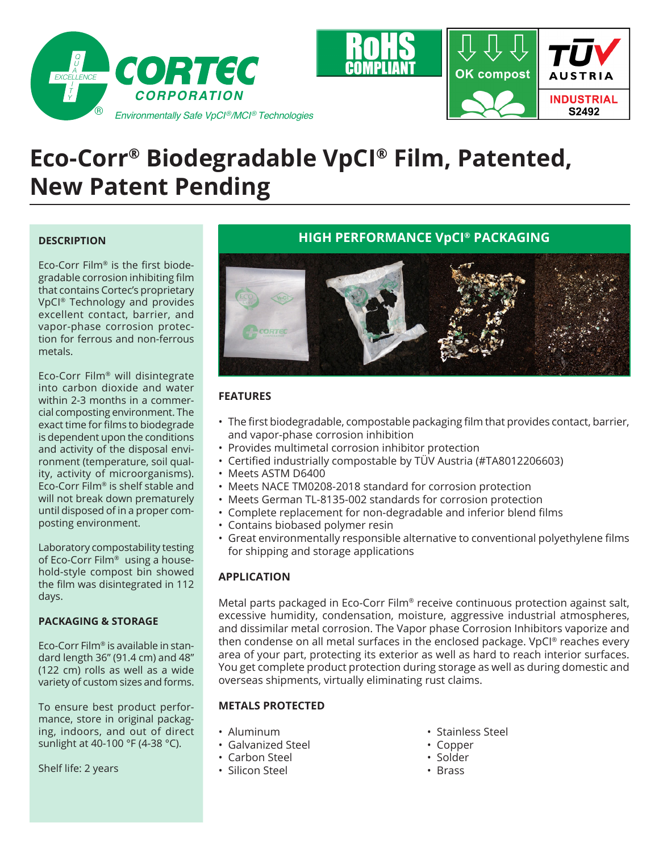

# **Eco-Corr® Biodegradable VpCI® Film, Patented, New Patent Pending**

### **DESCRIPTION**

Eco-Corr Film® is the first biodegradable corrosion inhibiting film that contains Cortec's proprietary VpCI® Technology and provides excellent contact, barrier, and vapor-phase corrosion protection for ferrous and non-ferrous metals.

Eco-Corr Film® will disintegrate into carbon dioxide and water within 2-3 months in a commercial composting environment. The exact time for films to biodegrade is dependent upon the conditions and activity of the disposal environment (temperature, soil quality, activity of microorganisms). Eco-Corr Film® is shelf stable and will not break down prematurely until disposed of in a proper composting environment.

Laboratory compostability testing of Eco-Corr Film® using a household-style compost bin showed the film was disintegrated in 112 days.

#### **PACKAGING & STORAGE**

Eco-Corr Film® is available in standard length 36" (91.4 cm) and 48" (122 cm) rolls as well as a wide variety of custom sizes and forms.

To ensure best product performance, store in original packaging, indoors, and out of direct sunlight at 40-100 °F (4-38 °C).

Shelf life: 2 years

## **HIGH PERFORMANCE VpCI® PACKAGING**



## **FEATURES**

- The first biodegradable, compostable packaging film that provides contact, barrier, and vapor-phase corrosion inhibition
- Provides multimetal corrosion inhibitor protection
- Certified industrially compostable by TÜV Austria (#TA8012206603)
- Meets ASTM D6400
- Meets NACE TM0208-2018 standard for corrosion protection
- Meets German TL-8135-002 standards for corrosion protection
- Complete replacement for non-degradable and inferior blend films
- Contains biobased polymer resin
- Great environmentally responsible alternative to conventional polyethylene films for shipping and storage applications

### **APPLICATION**

Metal parts packaged in Eco-Corr Film® receive continuous protection against salt, excessive humidity, condensation, moisture, aggressive industrial atmospheres, and dissimilar metal corrosion. The Vapor phase Corrosion Inhibitors vaporize and then condense on all metal surfaces in the enclosed package. VpCI® reaches every area of your part, protecting its exterior as well as hard to reach interior surfaces. You get complete product protection during storage as well as during domestic and overseas shipments, virtually eliminating rust claims.

#### **METALS PROTECTED**

- Aluminum
- Galvanized Steel
- Carbon Steel
- Silicon Steel
- Stainless Steel
- Copper
- Solder
- Brass